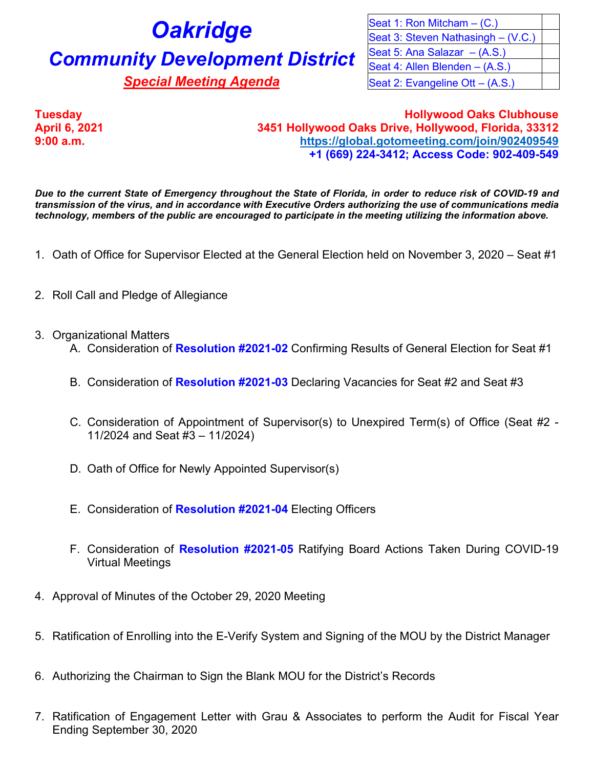## **Oakridge Community Development District**

**Special Meeting Agenda** 

| Seat 1: Ron Mitcham $-$ (C.)       |  |
|------------------------------------|--|
|                                    |  |
| Seat 3: Steven Nathasingh – (V.C.) |  |
| Seat 5: Ana Salazar $-(A.S.)$      |  |
| Seat 4: Allen Blenden - (A.S.)     |  |
| Seat 2: Evangeline Ott - (A.S.)    |  |

**Tuesday Hollywood Oaks Clubhouse April 6, 2021 3451 Hollywood Oaks Drive, Hollywood, Florida, 33312 9:00 a.m. <https://global.gotomeeting.com/join/902409549> +1 (669) 224-3412; Access Code: 902-409-549**

*Due to the current State of Emergency throughout the State of Florida, in order to reduce risk of COVID-19 and transmission of the virus, and in accordance with Executive Orders authorizing the use of communications media technology, members of the public are encouraged to participate in the meeting utilizing the information above.*

- 1. Oath of Office for Supervisor Elected at the General Election held on November 3, 2020 Seat #1
- 2. Roll Call and Pledge of Allegiance
- 3. Organizational Matters
	- A. Consideration of **Resolution #2021-02** Confirming Results of General Election for Seat #1
	- B. Consideration of **Resolution #2021-03** Declaring Vacancies for Seat #2 and Seat #3
	- C. Consideration of Appointment of Supervisor(s) to Unexpired Term(s) of Office (Seat #2 11/2024 and Seat #3 – 11/2024)
	- D. Oath of Office for Newly Appointed Supervisor(s)
	- E. Consideration of **Resolution #2021-04** Electing Officers
	- F. Consideration of **Resolution #2021-05** Ratifying Board Actions Taken During COVID-19 Virtual Meetings
- 4. Approval of Minutes of the October 29, 2020 Meeting
- 5. Ratification of Enrolling into the E-Verify System and Signing of the MOU by the District Manager
- 6. Authorizing the Chairman to Sign the Blank MOU for the District's Records
- 7. Ratification of Engagement Letter with Grau & Associates to perform the Audit for Fiscal Year Ending September 30, 2020